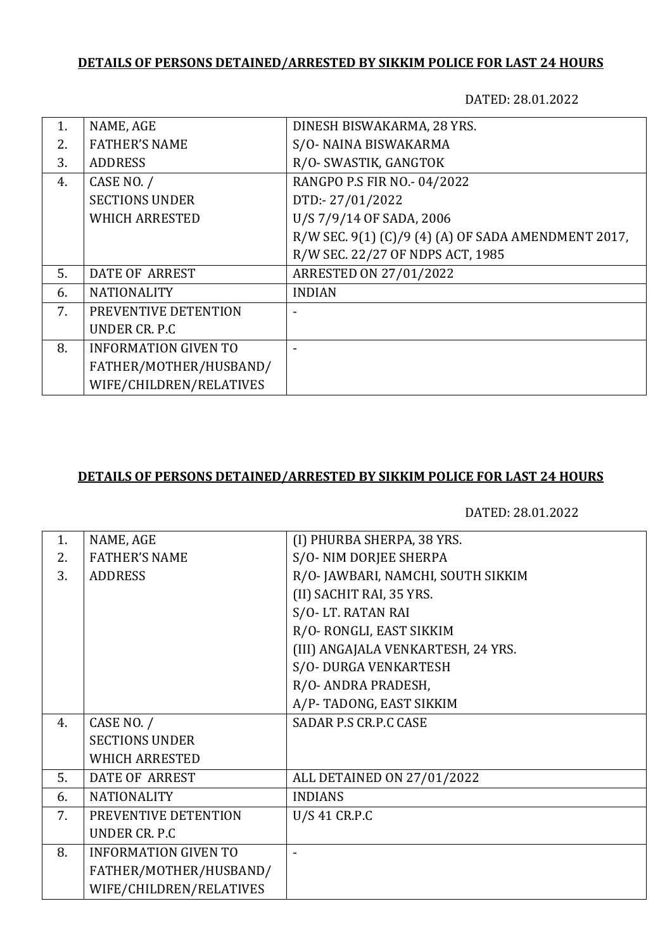## **DETAILS OF PERSONS DETAINED/ARRESTED BY SIKKIM POLICE FOR LAST 24 HOURS**

DATED: 28.01.2022

| 1.  | NAME, AGE                   | DINESH BISWAKARMA, 28 YRS.                          |
|-----|-----------------------------|-----------------------------------------------------|
| 2.5 | <b>FATHER'S NAME</b>        | S/O- NAINA BISWAKARMA                               |
| 3.  | <b>ADDRESS</b>              | R/O- SWASTIK, GANGTOK                               |
| 4.  | CASE NO. /                  | RANGPO P.S FIR NO.- 04/2022                         |
|     | <b>SECTIONS UNDER</b>       | DTD:-27/01/2022                                     |
|     | <b>WHICH ARRESTED</b>       | U/S 7/9/14 OF SADA, 2006                            |
|     |                             | R/W SEC. 9(1) (C)/9 (4) (A) OF SADA AMENDMENT 2017, |
|     |                             | R/W SEC. 22/27 OF NDPS ACT, 1985                    |
| 5.  | <b>DATE OF ARREST</b>       | <b>ARRESTED ON 27/01/2022</b>                       |
| 6.  | <b>NATIONALITY</b>          | <b>INDIAN</b>                                       |
| 7.  | PREVENTIVE DETENTION        |                                                     |
|     | UNDER CR. P.C.              |                                                     |
| 8.  | <b>INFORMATION GIVEN TO</b> |                                                     |
|     | FATHER/MOTHER/HUSBAND/      |                                                     |
|     | WIFE/CHILDREN/RELATIVES     |                                                     |

## **DETAILS OF PERSONS DETAINED/ARRESTED BY SIKKIM POLICE FOR LAST 24 HOURS**

DATED: 28.01.2022

| 1. | NAME, AGE                   | (I) PHURBA SHERPA, 38 YRS.         |
|----|-----------------------------|------------------------------------|
| 2. | <b>FATHER'S NAME</b>        | S/O-NIM DORJEE SHERPA              |
| 3. | <b>ADDRESS</b>              | R/O-JAWBARI, NAMCHI, SOUTH SIKKIM  |
|    |                             | (II) SACHIT RAI, 35 YRS.           |
|    |                             | S/O-LT. RATAN RAI                  |
|    |                             | R/O-RONGLI, EAST SIKKIM            |
|    |                             | (III) ANGAJALA VENKARTESH, 24 YRS. |
|    |                             | S/O- DURGA VENKARTESH              |
|    |                             | R/O- ANDRA PRADESH,                |
|    |                             | A/P-TADONG, EAST SIKKIM            |
| 4. | CASE NO. /                  | SADAR P.S CR.P.C CASE              |
|    | <b>SECTIONS UNDER</b>       |                                    |
|    | <b>WHICH ARRESTED</b>       |                                    |
| 5. | <b>DATE OF ARREST</b>       | ALL DETAINED ON 27/01/2022         |
| 6. | <b>NATIONALITY</b>          | <b>INDIANS</b>                     |
| 7. | PREVENTIVE DETENTION        | U/S 41 CR.P.C                      |
|    | UNDER CR. P.C               |                                    |
| 8. | <b>INFORMATION GIVEN TO</b> |                                    |
|    | FATHER/MOTHER/HUSBAND/      |                                    |
|    | WIFE/CHILDREN/RELATIVES     |                                    |